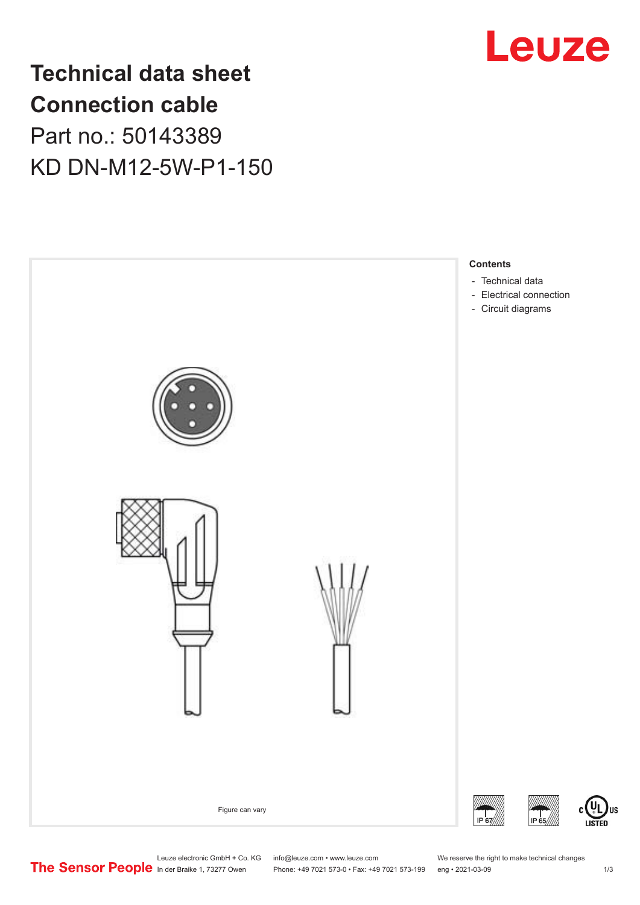

## **Technical data sheet Connection cable** Part no.: 50143389 KD DN-M12-5W-P1-150



Leuze electronic GmbH + Co. KG info@leuze.com • www.leuze.com We reserve the right to make technical changes<br>
The Sensor People in der Braike 1, 73277 Owen Phone: +49 7021 573-0 • Fax: +49 7021 573-199 eng • 2021-03-09

US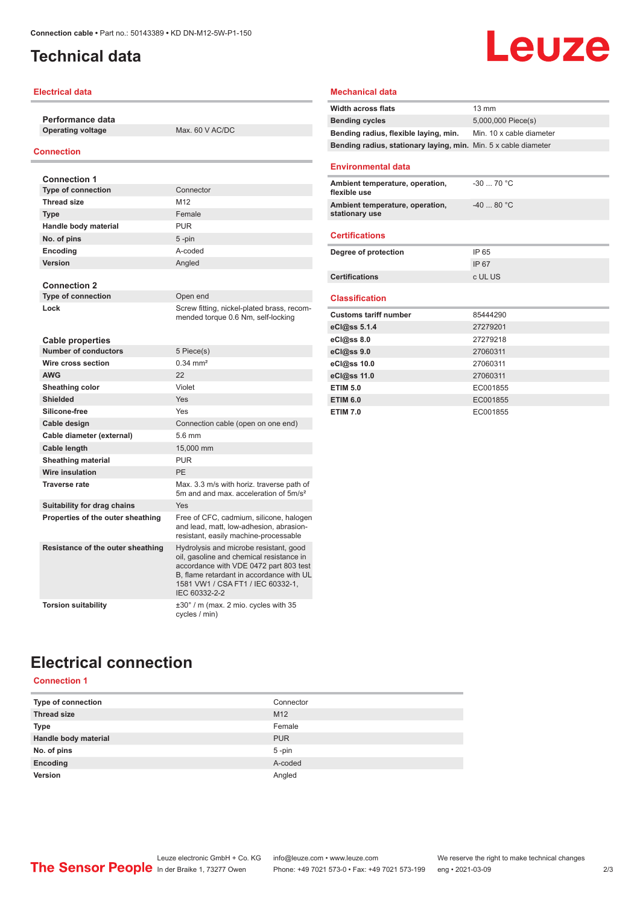## <span id="page-1-0"></span>**Technical data**

#### **Electrical data**

**Performance data**

**Operating voltage** Max. 60 V AC/DC

#### **Connection**

| <b>Connection 1</b>               |                                                                                                                                                                                                                                |
|-----------------------------------|--------------------------------------------------------------------------------------------------------------------------------------------------------------------------------------------------------------------------------|
| <b>Type of connection</b>         | Connector                                                                                                                                                                                                                      |
| <b>Thread size</b>                | M <sub>12</sub>                                                                                                                                                                                                                |
| <b>Type</b>                       | Female                                                                                                                                                                                                                         |
| Handle body material              | <b>PUR</b>                                                                                                                                                                                                                     |
| No. of pins                       | 5-pin                                                                                                                                                                                                                          |
| Encoding                          | A-coded                                                                                                                                                                                                                        |
| Version                           | Angled                                                                                                                                                                                                                         |
|                                   |                                                                                                                                                                                                                                |
| <b>Connection 2</b>               |                                                                                                                                                                                                                                |
| <b>Type of connection</b>         | Open end                                                                                                                                                                                                                       |
| Lock                              | Screw fitting, nickel-plated brass, recom-<br>mended torque 0.6 Nm, self-locking                                                                                                                                               |
| <b>Cable properties</b>           |                                                                                                                                                                                                                                |
| <b>Number of conductors</b>       | 5 Piece(s)                                                                                                                                                                                                                     |
| Wire cross section                | $0.34 \, \text{mm}^2$                                                                                                                                                                                                          |
| <b>AWG</b>                        | 22                                                                                                                                                                                                                             |
| Sheathing color                   | Violet                                                                                                                                                                                                                         |
| <b>Shielded</b>                   | Yes                                                                                                                                                                                                                            |
| Silicone-free                     | Yes                                                                                                                                                                                                                            |
| Cable design                      | Connection cable (open on one end)                                                                                                                                                                                             |
| Cable diameter (external)         | 5.6 mm                                                                                                                                                                                                                         |
| Cable length                      | 15,000 mm                                                                                                                                                                                                                      |
| <b>Sheathing material</b>         | <b>PUR</b>                                                                                                                                                                                                                     |
| Wire insulation                   | PF                                                                                                                                                                                                                             |
| <b>Traverse rate</b>              | Max. 3.3 m/s with horiz. traverse path of<br>5m and and max, acceleration of 5m/s <sup>2</sup>                                                                                                                                 |
| Suitability for drag chains       | Yes                                                                                                                                                                                                                            |
| Properties of the outer sheathing | Free of CFC, cadmium, silicone, halogen<br>and lead, matt, low-adhesion, abrasion-<br>resistant, easily machine-processable                                                                                                    |
| Resistance of the outer sheathing | Hydrolysis and microbe resistant, good<br>oil, gasoline and chemical resistance in<br>accordance with VDE 0472 part 803 test<br>B, flame retardant in accordance with UL<br>1581 VW1 / CSA FT1 / IEC 60332-1,<br>IEC 60332-2-2 |
| <b>Torsion suitability</b>        | $\pm 30^\circ$ / m (max. 2 mio. cycles with 35<br>cycles / min)                                                                                                                                                                |

#### **Mechanical data**

| <b>Width across flats</b>                                       | 13 mm                    |
|-----------------------------------------------------------------|--------------------------|
| <b>Bending cycles</b>                                           | 5,000,000 Piece(s)       |
| Bending radius, flexible laying, min.                           | Min. 10 x cable diameter |
| Bending radius, stationary laying, min. Min. 5 x cable diameter |                          |
|                                                                 |                          |
| <b>Environmental data</b>                                       |                          |
| Ambient temperature, operation,<br>flexible use                 | $-30$ 70 °C              |
| Ambient temperature, operation,<br>stationary use               | $-4080 °C$               |
| <b>Certifications</b>                                           |                          |
| Degree of protection                                            | IP 65                    |
|                                                                 | IP 67                    |
| <b>Certifications</b>                                           | c UL US                  |
|                                                                 |                          |
| <b>Classification</b>                                           |                          |
| <b>Customs tariff number</b>                                    | 85444290                 |
| eCl@ss 5.1.4                                                    | 27279201                 |
| eCl@ss 8.0                                                      | 27279218                 |
| eCl@ss 9.0                                                      | 27060311                 |
| eCl@ss 10.0                                                     | 27060311                 |
| eCl@ss 11.0                                                     | 27060311                 |
| <b>ETIM 5.0</b>                                                 | EC001855                 |
| <b>ETIM 6.0</b>                                                 | EC001855                 |
| <b>ETIM 7.0</b>                                                 | EC001855                 |

**Leuze** 

## **Electrical connection Connection 1**

| <b>UUILIUUILI</b>    |                 |
|----------------------|-----------------|
| Type of connection   | Connector       |
| <b>Thread size</b>   | M <sub>12</sub> |
| <b>Type</b>          | Female          |
| Handle body material | <b>PUR</b>      |
| No. of pins          | 5-pin           |
| Encoding             | A-coded         |
| Version              | Angled          |